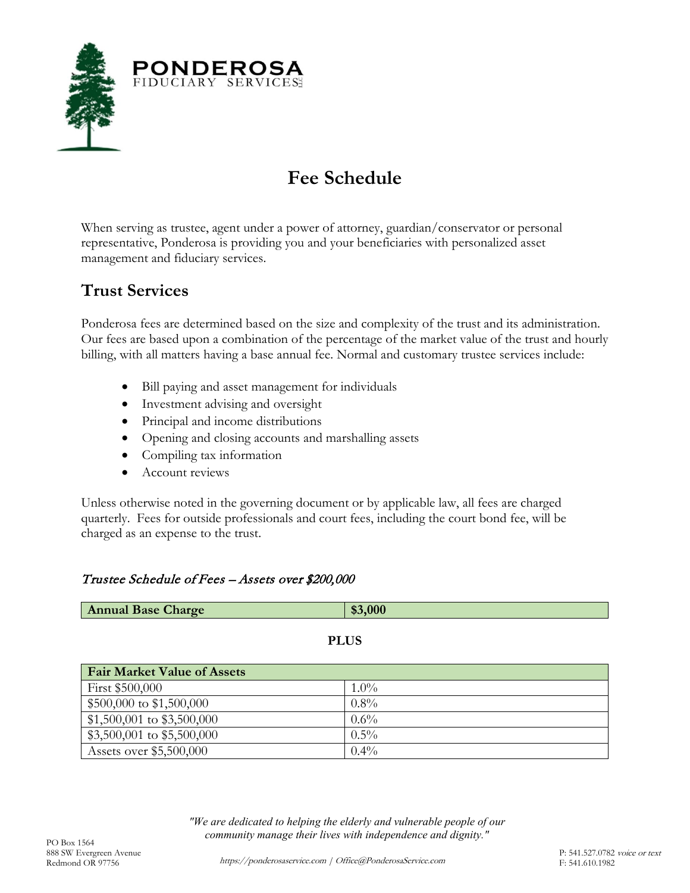

# **Fee Schedule**

When serving as trustee, agent under a power of attorney, guardian/conservator or personal representative, Ponderosa is providing you and your beneficiaries with personalized asset management and fiduciary services.

# **Trust Services**

Ponderosa fees are determined based on the size and complexity of the trust and its administration. Our fees are based upon a combination of the percentage of the market value of the trust and hourly billing, with all matters having a base annual fee. Normal and customary trustee services include:

- Bill paying and asset management for individuals
- Investment advising and oversight
- Principal and income distributions
- Opening and closing accounts and marshalling assets
- Compiling tax information
- Account reviews

Unless otherwise noted in the governing document or by applicable law, all fees are charged quarterly. Fees for outside professionals and court fees, including the court bond fee, will be charged as an expense to the trust.

### Trustee Schedule of Fees – Assets over \$200,000

| <b>Annual Base Charge</b>          | \$3,000 |  |
|------------------------------------|---------|--|
|                                    |         |  |
| <b>PLUS</b>                        |         |  |
| <b>Fair Market Value of Assets</b> |         |  |
| First \$500,000                    | $1.0\%$ |  |
| \$500,000 to \$1,500,000           | $0.8\%$ |  |
| $$1,500,001$ to $$3,500,000$       | $0.6\%$ |  |
| \$3,500,001 to \$5,500,000         | $0.5\%$ |  |
| Assets over \$5,500,000            | $0.4\%$ |  |

*"We are dedicated to helping the elderly and vulnerable people of our community manage their lives with independence and dignity."* PO Box 1564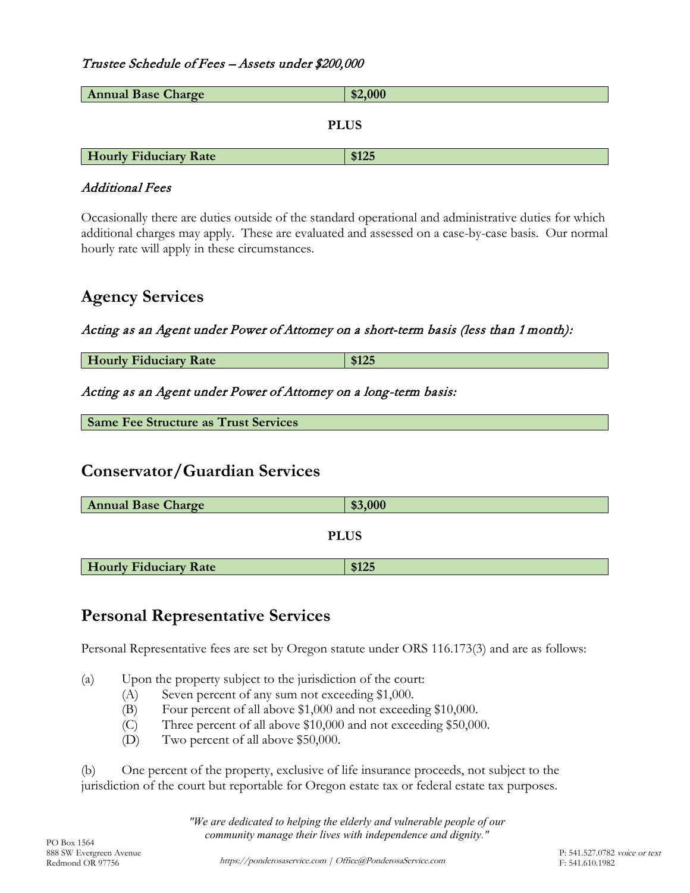#### Trustee Schedule of Fees – Assets under \$200,000

| <b>Annual Base Charge</b>    | \$2,000 |  |
|------------------------------|---------|--|
| <b>PLUS</b>                  |         |  |
|                              |         |  |
| <b>Hourly Fiduciary Rate</b> | \$125   |  |

#### Additional Fees

Occasionally there are duties outside of the standard operational and administrative duties for which additional charges may apply. These are evaluated and assessed on a case-by-case basis. Our normal hourly rate will apply in these circumstances.

### **Agency Services**

Acting as an Agent under Power of Attorney on a short-term basis (less than 1 month):

**Hourly Fiduciary Rate \$125** 

Acting as an Agent under Power of Attorney on a long-term basis:

**Same Fee Structure as Trust Services**

### **Conservator/Guardian Services**

| <b>Annual Base Charge</b>    | \$3,000 |  |
|------------------------------|---------|--|
|                              |         |  |
| <b>PLUS</b>                  |         |  |
| <b>Hourly Fiduciary Rate</b> | \$125   |  |

# **Personal Representative Services**

Personal Representative fees are set by Oregon statute under ORS 116.173(3) and are as follows:

(a) Upon the property subject to the jurisdiction of the court:

- (A) Seven percent of any sum not exceeding \$1,000.
- (B) Four percent of all above \$1,000 and not exceeding \$10,000.
- (C) Three percent of all above \$10,000 and not exceeding \$50,000.
- (D) Two percent of all above \$50,000.

(b) One percent of the property, exclusive of life insurance proceeds, not subject to the jurisdiction of the court but reportable for Oregon estate tax or federal estate tax purposes.

*"We are dedicated to helping the elderly and vulnerable people of our community manage their lives with independence and dignity."* PO Box 1564